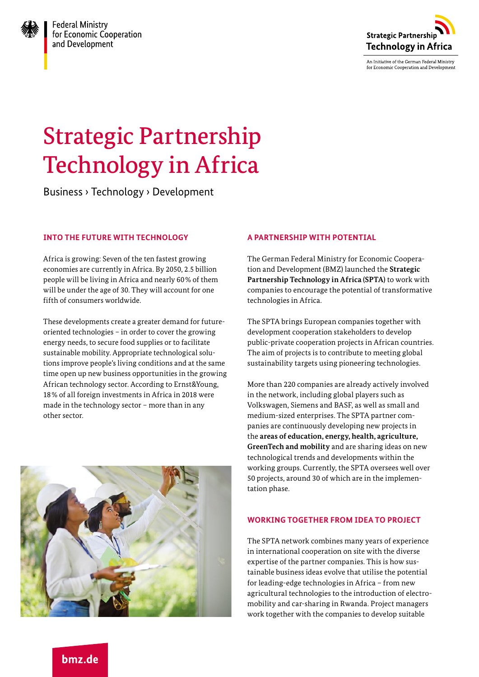



An Initiative of the German Federal Ministry for Economic Cooperation and Development

# Strategic Partnership Technology in Africa

Business › Technology › Development

#### **INTO THE FUTURE WITH TECHNOLOGY**

Africa is growing: Seven of the ten fastest growing economies are currently in Africa. By 2050, 2.5 billion people will be living in Africa and nearly 60% of them will be under the age of 30. They will account for one fifth of consumers worldwide.

These developments create a greater demand for futureoriented technologies – in order to cover the growing energy needs, to secure food supplies or to facilitate sustainable mobility. Appropriate technological solutions improve people's living conditions and at the same time open up new business opportunities in the growing African technology sector. According to Ernst&Young, 18% of all foreign investments in Africa in 2018 were made in the technology sector – more than in any other sector.



## **A PARTNERSHIP WITH POTENTIAL**

The German Federal Ministry for Economic Cooperation and Development (BMZ) launched the **Strategic Partnership Technology in Africa (SPTA)** to work with companies to encourage the potential of transformative technologies in Africa.

The SPTA brings European companies together with development cooperation stakeholders to develop public-private cooperation projects in African countries. The aim of projects is to contribute to meeting global sustainability targets using pioneering technologies.

More than 220 companies are already actively involved in the network, including global players such as Volkswagen, Siemens and BASF, as well as small and medium-sized enterprises. The SPTA partner companies are continuously developing new projects in the **areas of education, energy, health, agriculture, GreenTech and mobility** and are sharing ideas on new technological trends and developments within the working groups. Currently, the SPTA oversees well over 50 projects, around 30 of which are in the implementation phase.

## **WORKING TOGETHER FROM IDEA TO PROJECT**

The SPTA network combines many years of experience in international cooperation on site with the diverse expertise of the partner companies. This is how sustainable business ideas evolve that utilise the potential for leading-edge technologies in Africa – from new agricultural technologies to the introduction of electromobility and car-sharing in Rwanda. Project managers work together with the companies to develop suitable

bmz.de